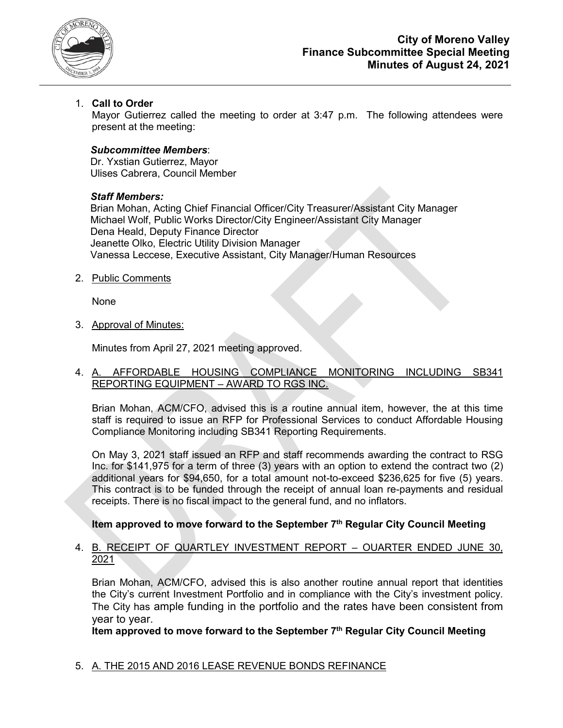

## 1. **Call to Order**

Mayor Gutierrez called the meeting to order at 3:47 p.m. The following attendees were present at the meeting:

#### *Subcommittee Members*:

Dr. Yxstian Gutierrez, Mayor Ulises Cabrera, Council Member

#### *Staff Members:*

Brian Mohan, Acting Chief Financial Officer/City Treasurer/Assistant City Manager Michael Wolf, Public Works Director/City Engineer/Assistant City Manager Dena Heald, Deputy Finance Director Jeanette Olko, Electric Utility Division Manager Vanessa Leccese, Executive Assistant, City Manager/Human Resources

2. Public Comments

None

3. Approval of Minutes:

Minutes from April 27, 2021 meeting approved.

#### 4. A. AFFORDABLE HOUSING COMPLIANCE MONITORING INCLUDING SB341 REPORTING EQUIPMENT – AWARD TO RGS INC.

Brian Mohan, ACM/CFO, advised this is a routine annual item, however, the at this time staff is required to issue an RFP for Professional Services to conduct Affordable Housing Compliance Monitoring including SB341 Reporting Requirements.

On May 3, 2021 staff issued an RFP and staff recommends awarding the contract to RSG Inc. for \$141,975 for a term of three (3) years with an option to extend the contract two (2) additional years for \$94,650, for a total amount not-to-exceed \$236,625 for five (5) years. This contract is to be funded through the receipt of annual loan re-payments and residual receipts. There is no fiscal impact to the general fund, and no inflators.

#### **Item approved to move forward to the September 7th Regular City Council Meeting**

#### 4. B. RECEIPT OF QUARTLEY INVESTMENT REPORT – OUARTER ENDED JUNE 30, 2021

Brian Mohan, ACM/CFO, advised this is also another routine annual report that identities the City's current Investment Portfolio and in compliance with the City's investment policy. The City has ample funding in the portfolio and the rates have been consistent from year to year.

**Item approved to move forward to the September 7th Regular City Council Meeting**

#### 5. A. THE 2015 AND 2016 LEASE REVENUE BONDS REFINANCE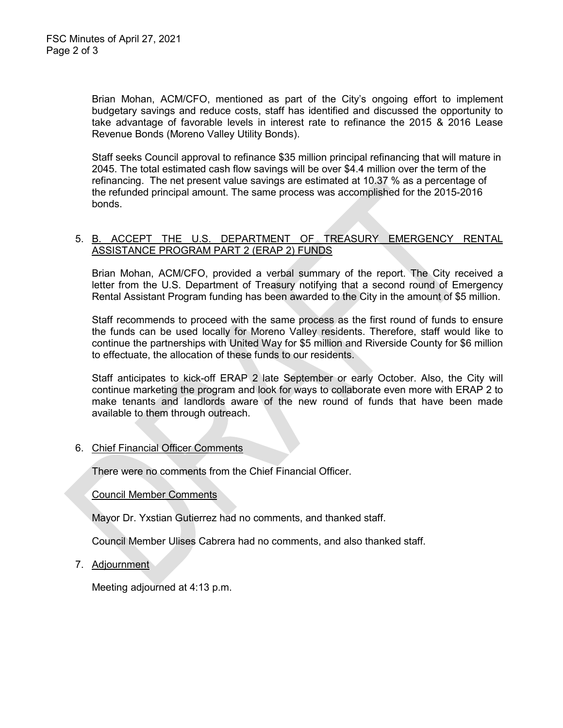Brian Mohan, ACM/CFO, mentioned as part of the City's ongoing effort to implement budgetary savings and reduce costs, staff has identified and discussed the opportunity to take advantage of favorable levels in interest rate to refinance the 2015 & 2016 Lease Revenue Bonds (Moreno Valley Utility Bonds).

Staff seeks Council approval to refinance \$35 million principal refinancing that will mature in 2045. The total estimated cash flow savings will be over \$4.4 million over the term of the refinancing. The net present value savings are estimated at 10.37 % as a percentage of the refunded principal amount. The same process was accomplished for the 2015-2016 bonds.

### 5. B. ACCEPT THE U.S. DEPARTMENT OF TREASURY EMERGENCY RENTAL ASSISTANCE PROGRAM PART 2 (ERAP 2) FUNDS

Brian Mohan, ACM/CFO, provided a verbal summary of the report. The City received a letter from the U.S. Department of Treasury notifying that a second round of Emergency Rental Assistant Program funding has been awarded to the City in the amount of \$5 million.

Staff recommends to proceed with the same process as the first round of funds to ensure the funds can be used locally for Moreno Valley residents. Therefore, staff would like to continue the partnerships with United Way for \$5 million and Riverside County for \$6 million to effectuate, the allocation of these funds to our residents.

Staff anticipates to kick-off ERAP 2 late September or early October. Also, the City will continue marketing the program and look for ways to collaborate even more with ERAP 2 to make tenants and landlords aware of the new round of funds that have been made available to them through outreach.

#### 6. Chief Financial Officer Comments

There were no comments from the Chief Financial Officer.

#### Council Member Comments

Mayor Dr. Yxstian Gutierrez had no comments, and thanked staff.

Council Member Ulises Cabrera had no comments, and also thanked staff.

7. Adjournment

Meeting adjourned at 4:13 p.m.